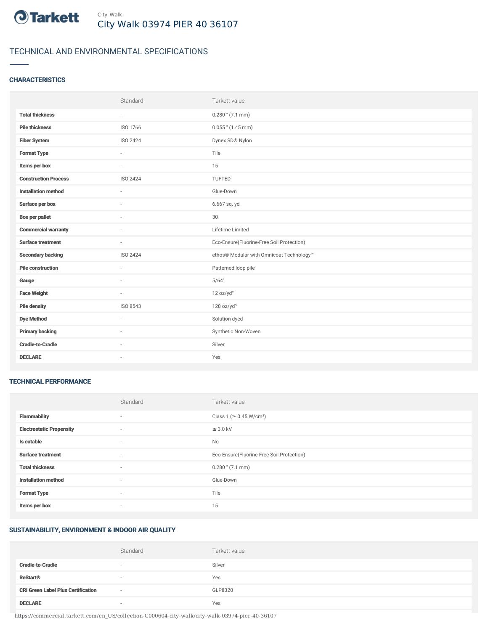

# TECHNICAL AND ENVIRONMENTAL SPECIFICATIONS

## **CHARACTERISTICS**

|                             | Standard        | Tarkett value                             |
|-----------------------------|-----------------|-------------------------------------------|
| <b>Total thickness</b>      | $\sim$          | $0.280$ " (7.1 mm)                        |
| <b>Pile thickness</b>       | ISO 1766        | $0.055$ " (1.45 mm)                       |
| <b>Fiber System</b>         | <b>ISO 2424</b> | Dynex SD® Nylon                           |
| <b>Format Type</b>          | ÷.              | Tile                                      |
| Items per box               | $\sim$          | 15                                        |
| <b>Construction Process</b> | ISO 2424        | TUFTED                                    |
| <b>Installation method</b>  | ×.              | Glue-Down                                 |
| Surface per box             | ÷               | 6.667 sq. yd                              |
| <b>Box per pallet</b>       | $\sim$          | 30                                        |
| <b>Commercial warranty</b>  |                 | Lifetime Limited                          |
| <b>Surface treatment</b>    | $\sim$          | Eco-Ensure(Fluorine-Free Soil Protection) |
| <b>Secondary backing</b>    | ISO 2424        | ethos® Modular with Omnicoat Technology™  |
| <b>Pile construction</b>    | ×.              | Patterned loop pile                       |
| Gauge                       | ٠               | 5/64"                                     |
| <b>Face Weight</b>          | ×.              | 12 oz/yd <sup>2</sup>                     |
| <b>Pile density</b>         | ISO 8543        | 128 oz/yd <sup>3</sup>                    |
| <b>Dye Method</b>           | ×.              | Solution dyed                             |
| <b>Primary backing</b>      | ٠               | Synthetic Non-Woven                       |
| <b>Cradle-to-Cradle</b>     | $\sim$          | Silver                                    |
| <b>DECLARE</b>              | ٠               | Yes                                       |

#### TECHNICAL PERFORMANCE

|                                 | Standard                 | Tarkett value                             |
|---------------------------------|--------------------------|-------------------------------------------|
| <b>Flammability</b>             | ۰                        | Class 1 (≥ 0.45 W/cm <sup>2</sup> )       |
| <b>Electrostatic Propensity</b> | $\sim$                   | $\leq$ 3.0 kV                             |
| Is cutable                      | $\overline{\phantom{a}}$ | No                                        |
| <b>Surface treatment</b>        | $\sim$                   | Eco-Ensure(Fluorine-Free Soil Protection) |
| <b>Total thickness</b>          | $\sim$                   | $0.280$ " (7.1 mm)                        |
| <b>Installation method</b>      | $\sim$                   | Glue-Down                                 |
| <b>Format Type</b>              | $\sim$                   | Tile                                      |
| Items per box                   | ۰                        | 15                                        |

### SUSTAINABILITY, ENVIRONMENT & INDOOR AIR QUALITY

|                                           | Standard                 | Tarkett value |
|-------------------------------------------|--------------------------|---------------|
| <b>Cradle-to-Cradle</b>                   | $\sim$                   | Silver        |
| <b>ReStart<sup>®</sup></b>                | $\sim$                   | Yes           |
| <b>CRI Green Label Plus Certification</b> | $\overline{\phantom{a}}$ | GLP8320       |
| <b>DECLARE</b>                            | $\sim$                   | Yes           |

https://commercial.tarkett.com/en\_US/collection-C000604-city-walk/city-walk-03974-pier-40-36107